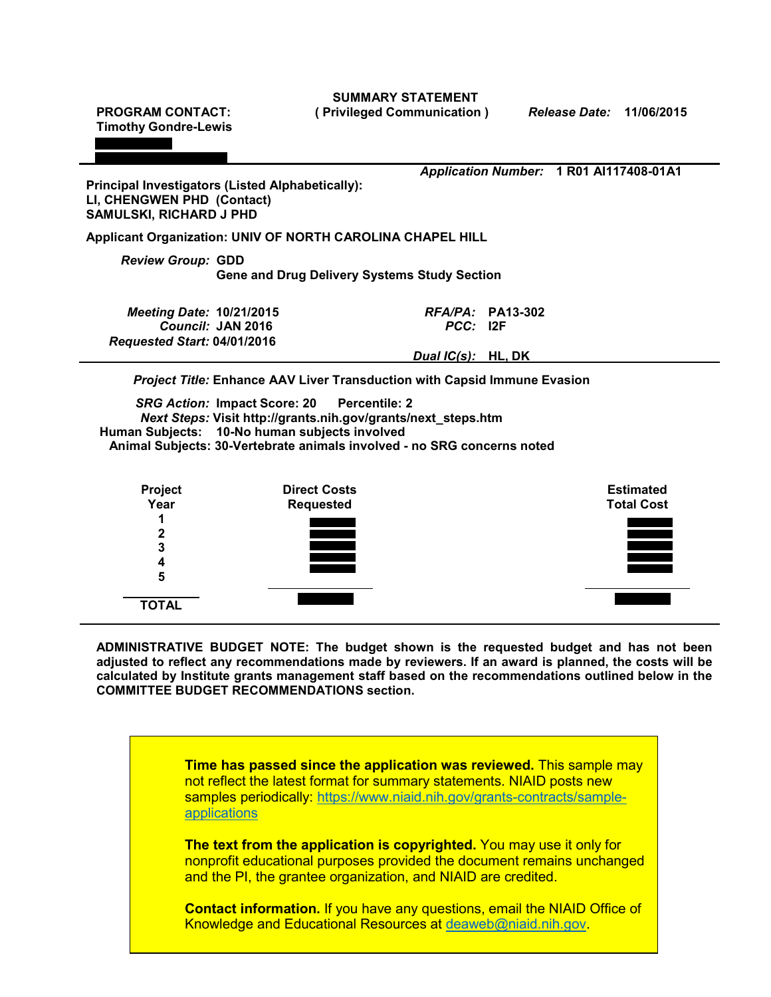**PROGRAM CONTACT: Timothy Gondre-Lewis ( Privileged Communication )** *Release Date:* **11/06/2015 Principal Investigators (Listed Alphabetically): LI, CHENGWEN PHD (Contact) SAMULSKI, RICHARD J PHD** *Application Number:* **1 R01 AI117408-01A1 Applicant Organization: UNIV OF NORTH CAROLINA CHAPEL HILL** *Review Group:* **GDD Gene and Drug Delivery Systems Study Section** *Meeting Date:* **10/21/2015** *RFA/PA:* **PA13-302**  $C$ *Council:* JAN 2016 *Requested Start:* **04/01/2016** *Dual IC(s):* **HL, DK** *Project Title:* **Enhance AAV Liver Transduction with Capsid Immune Evasion** *SRG Action:* **Impact Score: 20 Percentile: 2** *Next Steps:* **Visit [http://grants.nih.gov/grants/next\\_steps.htm](http://grants.nih.gov/grants/next_steps.htm) Human Subjects: 10-No human subjects involved Animal Subjects: 30-Vertebrate animals involved - no SRG concerns noted Project Year 1 2 3 4 Direct Costs Requested Estimated Total Cost**

**SUMMARY STATEMENT**

**ADMINISTRATIVE BUDGET NOTE: The budget shown is the requested budget and has not been adjusted to reflect any recommendations made by reviewers. If an award is planned, the costs will be calculated by Institute grants management staff based on the recommendations outlined below in the COMMITTEE BUDGET RECOMMENDATIONS section.**

**5**

**TOTAL**

**Time has passed since the application was reviewed.** This sample may not reflect the latest format for summary statements. NIAID posts new samples periodically: [https://www.niaid.nih.gov/grants-contracts/sample](https://www.niaid.nih.gov/grants-contracts/sample-applications)[applications](https://www.niaid.nih.gov/grants-contracts/sample-applications)

**The text from the application is copyrighted.** You may use it only for nonprofit educational purposes provided the document remains unchanged and the PI, the grantee organization, and NIAID are credited.

**Contact information.** If you have any questions, email the NIAID Office of Knowledge and Educational Resources at [deaweb@niaid.nih.gov.](mailto:deaweb@niaid.nih.gov)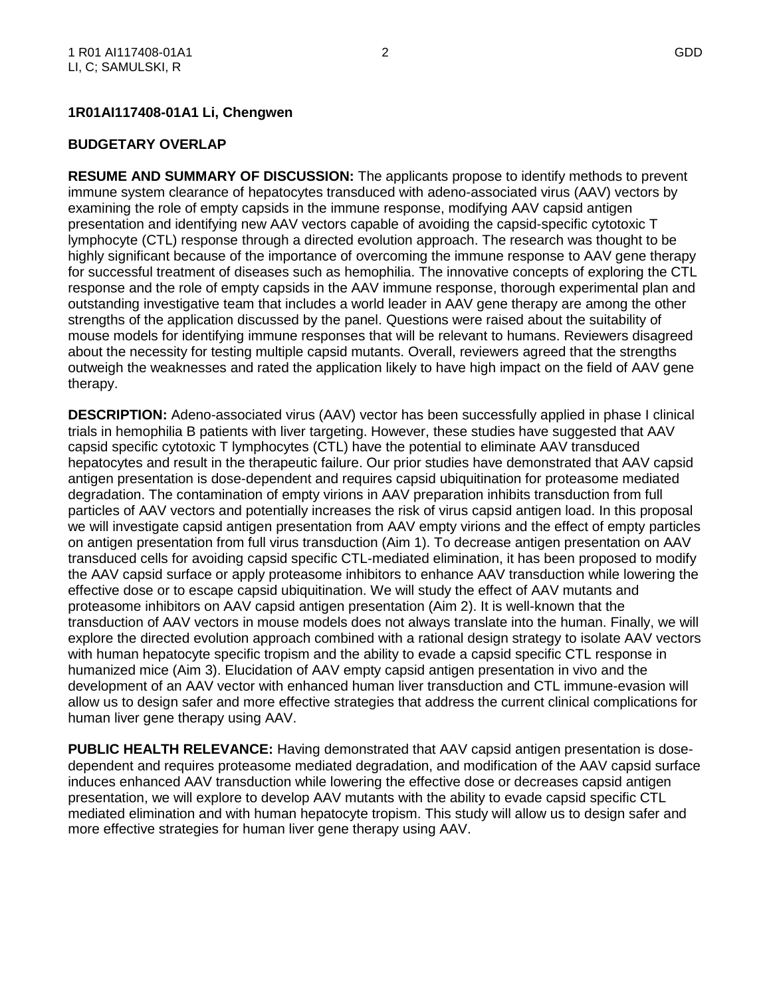## **1R01AI117408-01A1 Li, Chengwen**

#### **BUDGETARY OVERLAP**

**RESUME AND SUMMARY OF DISCUSSION:** The applicants propose to identify methods to prevent immune system clearance of hepatocytes transduced with adeno-associated virus (AAV) vectors by examining the role of empty capsids in the immune response, modifying AAV capsid antigen presentation and identifying new AAV vectors capable of avoiding the capsid-specific cytotoxic T lymphocyte (CTL) response through a directed evolution approach. The research was thought to be highly significant because of the importance of overcoming the immune response to AAV gene therapy for successful treatment of diseases such as hemophilia. The innovative concepts of exploring the CTL response and the role of empty capsids in the AAV immune response, thorough experimental plan and outstanding investigative team that includes a world leader in AAV gene therapy are among the other strengths of the application discussed by the panel. Questions were raised about the suitability of mouse models for identifying immune responses that will be relevant to humans. Reviewers disagreed about the necessity for testing multiple capsid mutants. Overall, reviewers agreed that the strengths outweigh the weaknesses and rated the application likely to have high impact on the field of AAV gene therapy.

**DESCRIPTION:** Adeno-associated virus (AAV) vector has been successfully applied in phase I clinical trials in hemophilia B patients with liver targeting. However, these studies have suggested that AAV capsid specific cytotoxic T lymphocytes (CTL) have the potential to eliminate AAV transduced hepatocytes and result in the therapeutic failure. Our prior studies have demonstrated that AAV capsid antigen presentation is dose-dependent and requires capsid ubiquitination for proteasome mediated degradation. The contamination of empty virions in AAV preparation inhibits transduction from full particles of AAV vectors and potentially increases the risk of virus capsid antigen load. In this proposal we will investigate capsid antigen presentation from AAV empty virions and the effect of empty particles on antigen presentation from full virus transduction (Aim 1). To decrease antigen presentation on AAV transduced cells for avoiding capsid specific CTL-mediated elimination, it has been proposed to modify the AAV capsid surface or apply proteasome inhibitors to enhance AAV transduction while lowering the effective dose or to escape capsid ubiquitination. We will study the effect of AAV mutants and proteasome inhibitors on AAV capsid antigen presentation (Aim 2). It is well-known that the transduction of AAV vectors in mouse models does not always translate into the human. Finally, we will explore the directed evolution approach combined with a rational design strategy to isolate AAV vectors with human hepatocyte specific tropism and the ability to evade a capsid specific CTL response in humanized mice (Aim 3). Elucidation of AAV empty capsid antigen presentation in vivo and the development of an AAV vector with enhanced human liver transduction and CTL immune-evasion will allow us to design safer and more effective strategies that address the current clinical complications for human liver gene therapy using AAV.

**PUBLIC HEALTH RELEVANCE:** Having demonstrated that AAV capsid antigen presentation is dosedependent and requires proteasome mediated degradation, and modification of the AAV capsid surface induces enhanced AAV transduction while lowering the effective dose or decreases capsid antigen presentation, we will explore to develop AAV mutants with the ability to evade capsid specific CTL mediated elimination and with human hepatocyte tropism. This study will allow us to design safer and more effective strategies for human liver gene therapy using AAV.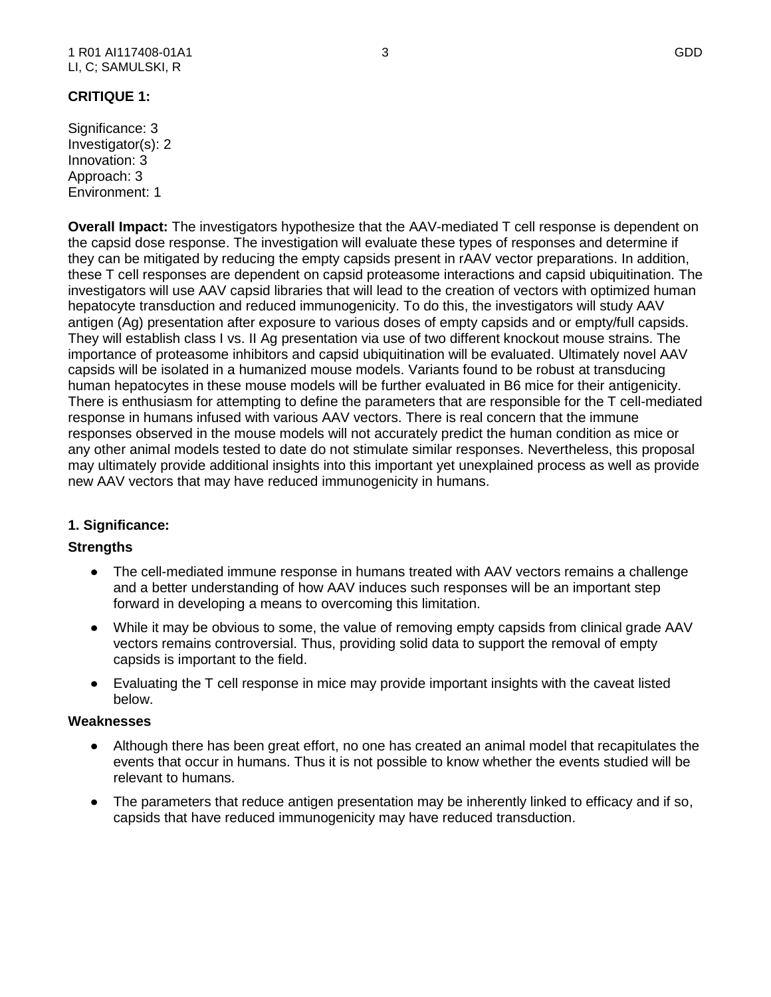#### 1 R01 AI117408-01A1 3 GDD LI, C; SAMULSKI, R

## **CRITIQUE 1:**

Significance: 3 Investigator(s): 2 Innovation: 3 Approach: 3 Environment: 1

**Overall Impact:** The investigators hypothesize that the AAV-mediated T cell response is dependent on the capsid dose response. The investigation will evaluate these types of responses and determine if they can be mitigated by reducing the empty capsids present in rAAV vector preparations. In addition, these T cell responses are dependent on capsid proteasome interactions and capsid ubiquitination. The investigators will use AAV capsid libraries that will lead to the creation of vectors with optimized human hepatocyte transduction and reduced immunogenicity. To do this, the investigators will study AAV antigen (Ag) presentation after exposure to various doses of empty capsids and or empty/full capsids. They will establish class I vs. II Ag presentation via use of two different knockout mouse strains. The importance of proteasome inhibitors and capsid ubiquitination will be evaluated. Ultimately novel AAV capsids will be isolated in a humanized mouse models. Variants found to be robust at transducing human hepatocytes in these mouse models will be further evaluated in B6 mice for their antigenicity. There is enthusiasm for attempting to define the parameters that are responsible for the T cell-mediated response in humans infused with various AAV vectors. There is real concern that the immune responses observed in the mouse models will not accurately predict the human condition as mice or any other animal models tested to date do not stimulate similar responses. Nevertheless, this proposal may ultimately provide additional insights into this important yet unexplained process as well as provide new AAV vectors that may have reduced immunogenicity in humans.

## **1. Significance:**

## **Strengths**

- The cell-mediated immune response in humans treated with AAV vectors remains a challenge and a better understanding of how AAV induces such responses will be an important step forward in developing a means to overcoming this limitation.
- While it may be obvious to some, the value of removing empty capsids from clinical grade AAV vectors remains controversial. Thus, providing solid data to support the removal of empty capsids is important to the field.
- Evaluating the T cell response in mice may provide important insights with the caveat listed below.

#### **Weaknesses**

- Although there has been great effort, no one has created an animal model that recapitulates the events that occur in humans. Thus it is not possible to know whether the events studied will be relevant to humans.
- The parameters that reduce antigen presentation may be inherently linked to efficacy and if so, capsids that have reduced immunogenicity may have reduced transduction.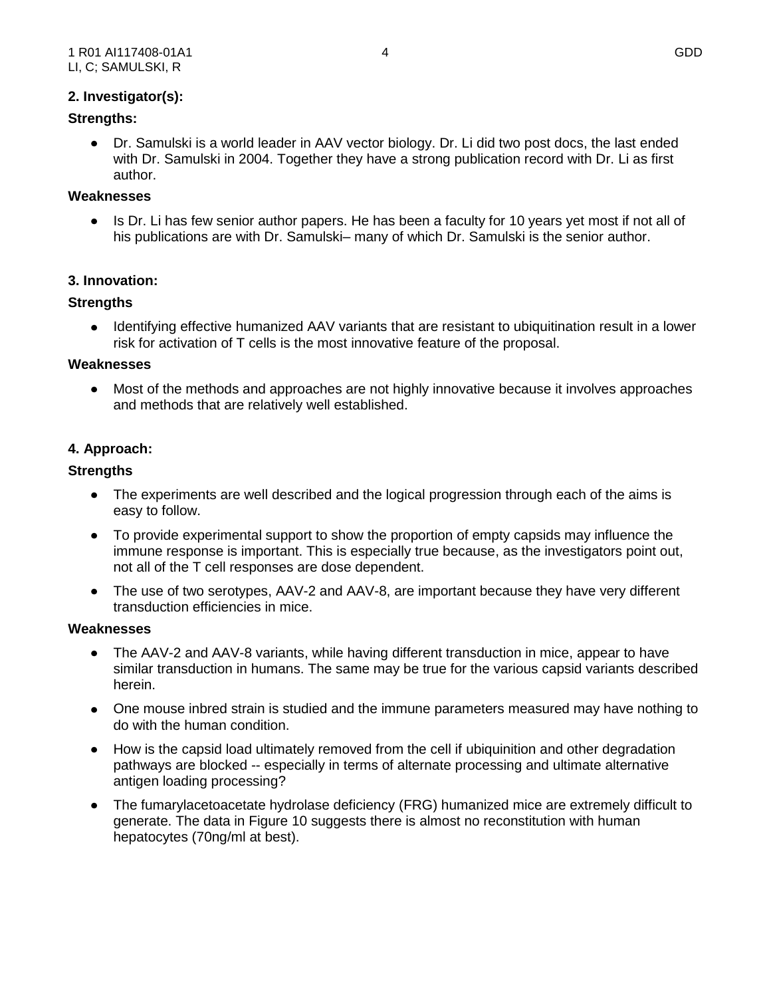## **2. Investigator(s):**

## **Strengths:**

Dr. Samulski is a world leader in AAV vector biology. Dr. Li did two post docs, the last ended with Dr. Samulski in 2004. Together they have a strong publication record with Dr. Li as first author.

### **Weaknesses**

 $\bullet$ Is Dr. Li has few senior author papers. He has been a faculty for 10 years yet most if not all of his publications are with Dr. Samulski– many of which Dr. Samulski is the senior author.

### **3. Innovation:**

### **Strengths**

Identifying effective humanized AAV variants that are resistant to ubiquitination result in a lower  $\bullet$ risk for activation of T cells is the most innovative feature of the proposal.

#### **Weaknesses**

Most of the methods and approaches are not highly innovative because it involves approaches and methods that are relatively well established.

### **4. Approach:**

#### **Strengths**

- The experiments are well described and the logical progression through each of the aims is easy to follow.
- To provide experimental support to show the proportion of empty capsids may influence the immune response is important. This is especially true because, as the investigators point out, not all of the T cell responses are dose dependent.
- The use of two serotypes, AAV-2 and AAV-8, are important because they have very different transduction efficiencies in mice.

#### **Weaknesses**

- The AAV-2 and AAV-8 variants, while having different transduction in mice, appear to have similar transduction in humans. The same may be true for the various capsid variants described herein.
- One mouse inbred strain is studied and the immune parameters measured may have nothing to do with the human condition.
- How is the capsid load ultimately removed from the cell if ubiquinition and other degradation pathways are blocked -- especially in terms of alternate processing and ultimate alternative antigen loading processing?
- The fumarylacetoacetate hydrolase deficiency (FRG) humanized mice are extremely difficult to generate. The data in Figure 10 suggests there is almost no reconstitution with human hepatocytes (70ng/ml at best).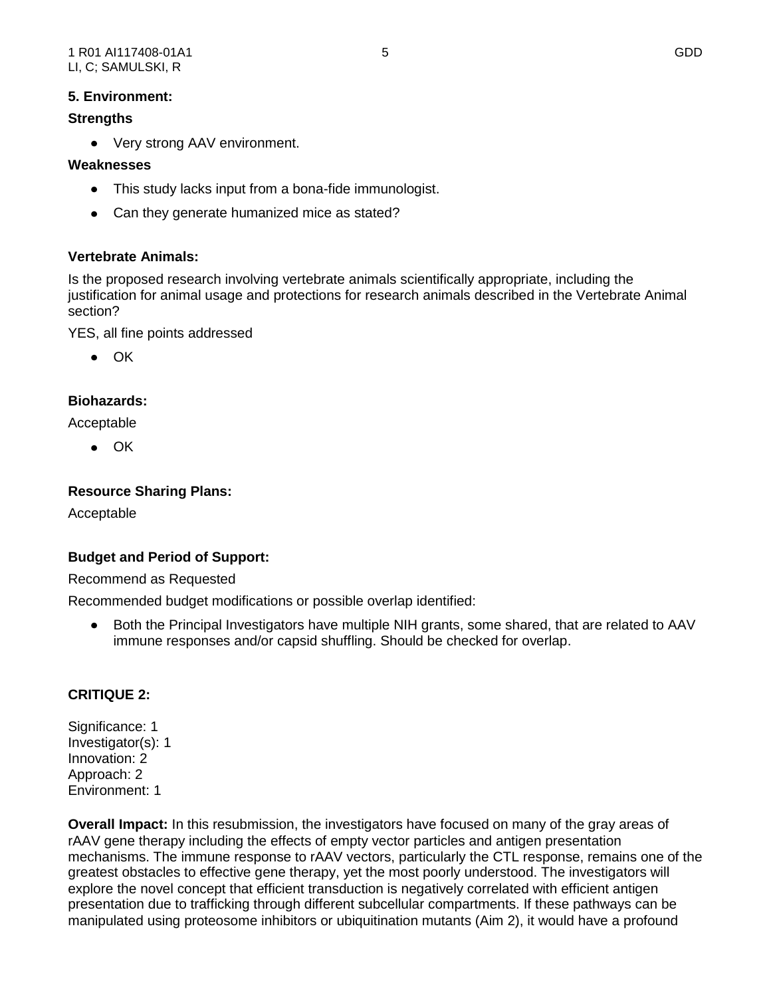# **Strengths**

Very strong AAV environment.

# **Weaknesses**

- This study lacks input from a bona-fide immunologist.
- Can they generate humanized mice as stated?

# **Vertebrate Animals:**

Is the proposed research involving vertebrate animals scientifically appropriate, including the justification for animal usage and protections for research animals described in the Vertebrate Animal section?

YES, all fine points addressed

 $\bullet$   $\cap$ K

# **Biohazards:**

Acceptable

 $\bullet$  OK

# **Resource Sharing Plans:**

Acceptable

# **Budget and Period of Support:**

Recommend as Requested

Recommended budget modifications or possible overlap identified:

Both the Principal Investigators have multiple NIH grants, some shared, that are related to AAV  $\bullet$ immune responses and/or capsid shuffling. Should be checked for overlap.

# **CRITIQUE 2:**

Significance: 1 Investigator(s): 1 Innovation: 2 Approach: 2 Environment: 1

**Overall Impact:** In this resubmission, the investigators have focused on many of the gray areas of rAAV gene therapy including the effects of empty vector particles and antigen presentation mechanisms. The immune response to rAAV vectors, particularly the CTL response, remains one of the greatest obstacles to effective gene therapy, yet the most poorly understood. The investigators will explore the novel concept that efficient transduction is negatively correlated with efficient antigen presentation due to trafficking through different subcellular compartments. If these pathways can be manipulated using proteosome inhibitors or ubiquitination mutants (Aim 2), it would have a profound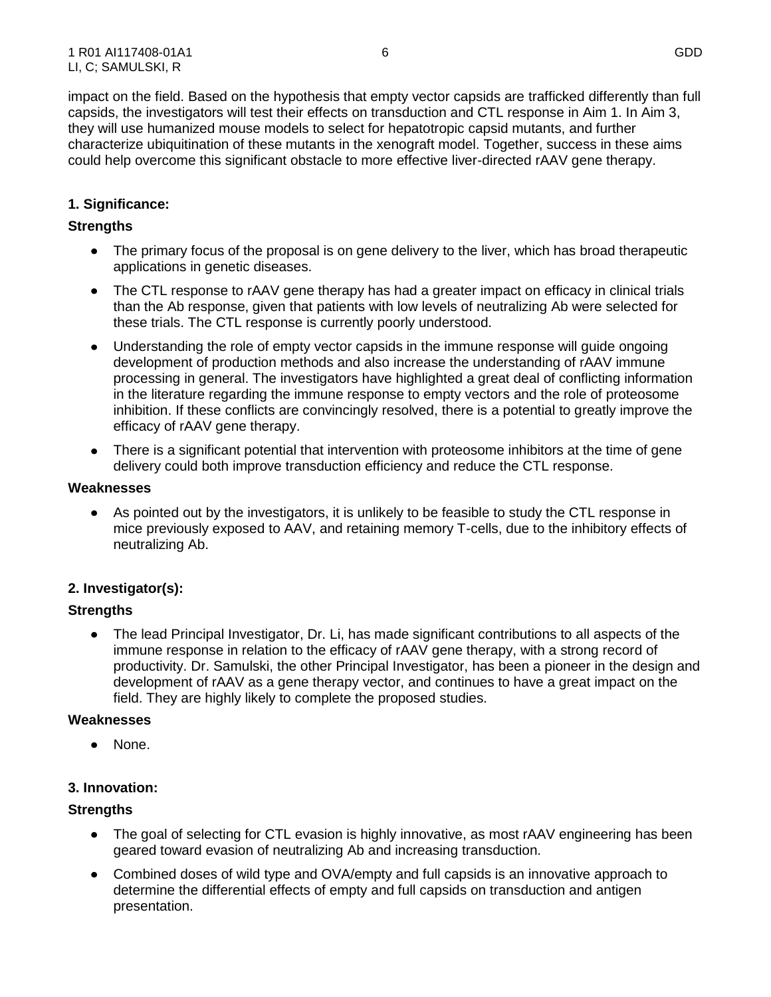impact on the field. Based on the hypothesis that empty vector capsids are trafficked differently than full capsids, the investigators will test their effects on transduction and CTL response in Aim 1. In Aim 3, they will use humanized mouse models to select for hepatotropic capsid mutants, and further characterize ubiquitination of these mutants in the xenograft model. Together, success in these aims could help overcome this significant obstacle to more effective liver-directed rAAV gene therapy.

# **1. Significance:**

## **Strengths**

- The primary focus of the proposal is on gene delivery to the liver, which has broad therapeutic applications in genetic diseases.
- The CTL response to rAAV gene therapy has had a greater impact on efficacy in clinical trials than the Ab response, given that patients with low levels of neutralizing Ab were selected for these trials. The CTL response is currently poorly understood.
- Understanding the role of empty vector capsids in the immune response will guide ongoing development of production methods and also increase the understanding of rAAV immune processing in general. The investigators have highlighted a great deal of conflicting information in the literature regarding the immune response to empty vectors and the role of proteosome inhibition. If these conflicts are convincingly resolved, there is a potential to greatly improve the efficacy of rAAV gene therapy.
- There is a significant potential that intervention with proteosome inhibitors at the time of gene delivery could both improve transduction efficiency and reduce the CTL response.

### **Weaknesses**

As pointed out by the investigators, it is unlikely to be feasible to study the CTL response in mice previously exposed to AAV, and retaining memory T-cells, due to the inhibitory effects of neutralizing Ab.

## **2. Investigator(s):**

## **Strengths**

The lead Principal Investigator, Dr. Li, has made significant contributions to all aspects of the immune response in relation to the efficacy of rAAV gene therapy, with a strong record of productivity. Dr. Samulski, the other Principal Investigator, has been a pioneer in the design and development of rAAV as a gene therapy vector, and continues to have a great impact on the field. They are highly likely to complete the proposed studies.

## **Weaknesses**

None.

# **3. Innovation:**

## **Strengths**

- The goal of selecting for CTL evasion is highly innovative, as most rAAV engineering has been geared toward evasion of neutralizing Ab and increasing transduction.
- Combined doses of wild type and OVA/empty and full capsids is an innovative approach to determine the differential effects of empty and full capsids on transduction and antigen presentation.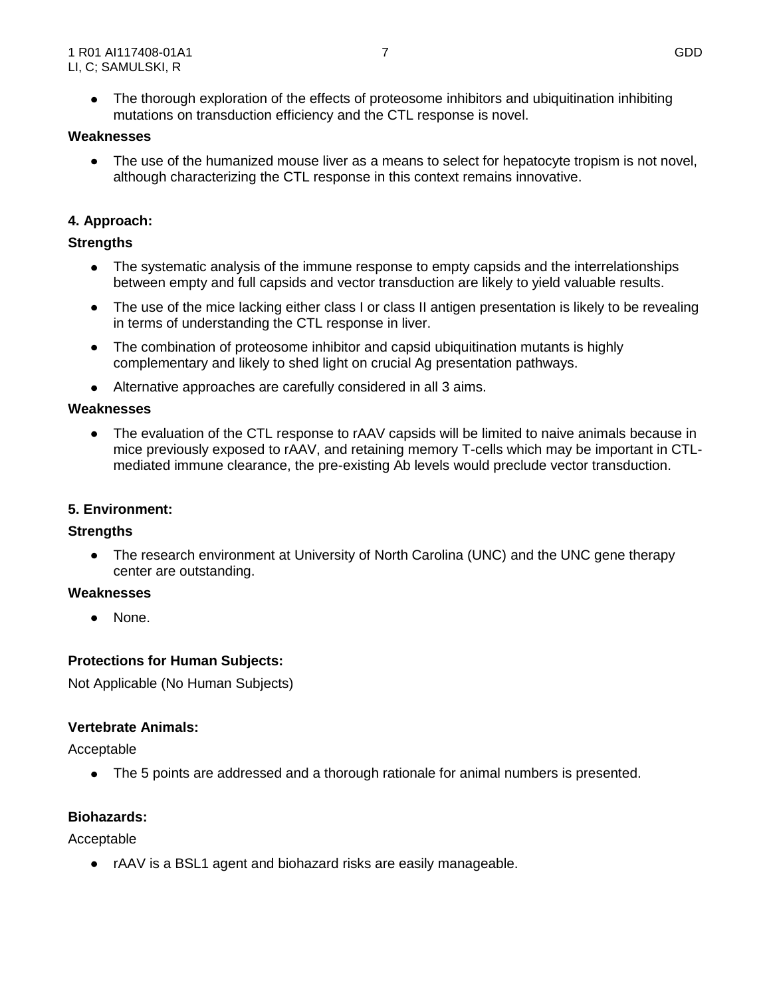• The thorough exploration of the effects of proteosome inhibitors and ubiquitination inhibiting mutations on transduction efficiency and the CTL response is novel.

### **Weaknesses**

 $\bullet$ The use of the humanized mouse liver as a means to select for hepatocyte tropism is not novel, although characterizing the CTL response in this context remains innovative.

# **4. Approach:**

## **Strengths**

- The systematic analysis of the immune response to empty capsids and the interrelationships between empty and full capsids and vector transduction are likely to yield valuable results.
- The use of the mice lacking either class I or class II antigen presentation is likely to be revealing in terms of understanding the CTL response in liver.
- The combination of proteosome inhibitor and capsid ubiquitination mutants is highly complementary and likely to shed light on crucial Ag presentation pathways.
- Alternative approaches are carefully considered in all 3 aims.

## **Weaknesses**

The evaluation of the CTL response to rAAV capsids will be limited to naive animals because in  $\bullet$ mice previously exposed to rAAV, and retaining memory T-cells which may be important in CTLmediated immune clearance, the pre-existing Ab levels would preclude vector transduction.

## **5. Environment:**

## **Strengths**

 $\bullet$ The research environment at University of North Carolina (UNC) and the UNC gene therapy center are outstanding.

## **Weaknesses**

• None.

# **Protections for Human Subjects:**

Not Applicable (No Human Subjects)

## **Vertebrate Animals:**

Acceptable

The 5 points are addressed and a thorough rationale for animal numbers is presented.

## **Biohazards:**

Acceptable

rAAV is a BSL1 agent and biohazard risks are easily manageable.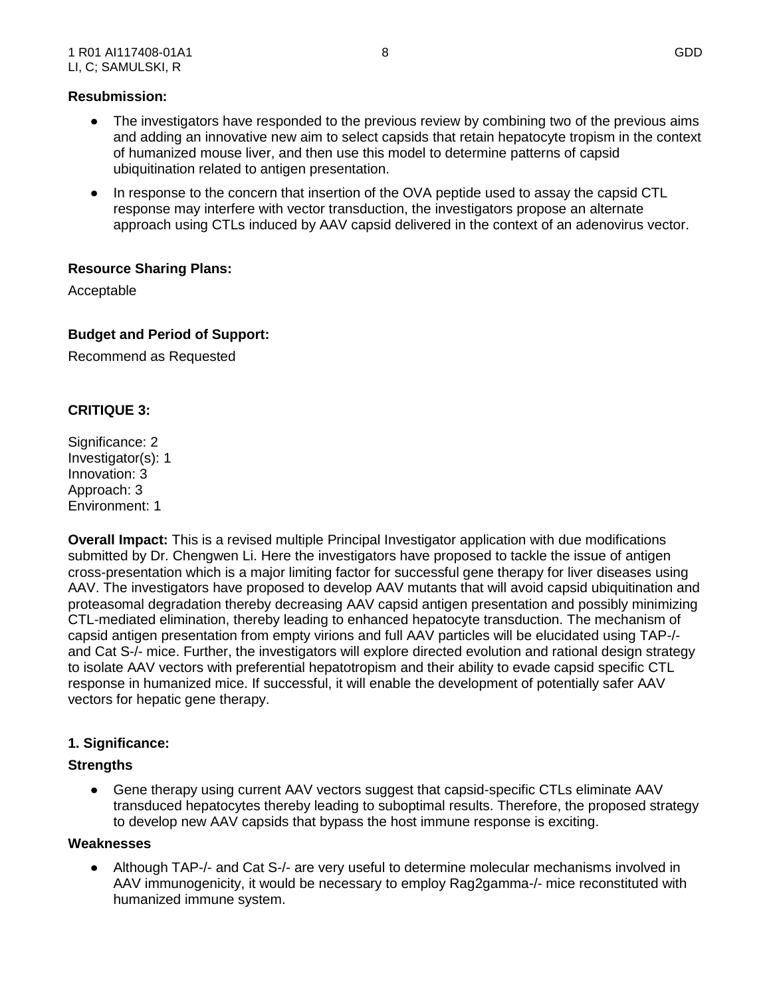### **Resubmission:**

- The investigators have responded to the previous review by combining two of the previous aims and adding an innovative new aim to select capsids that retain hepatocyte tropism in the context of humanized mouse liver, and then use this model to determine patterns of capsid ubiquitination related to antigen presentation.
- In response to the concern that insertion of the OVA peptide used to assay the capsid CTL response may interfere with vector transduction, the investigators propose an alternate approach using CTLs induced by AAV capsid delivered in the context of an adenovirus vector.

## **Resource Sharing Plans:**

Acceptable

### **Budget and Period of Support:**

Recommend as Requested

## **CRITIQUE 3:**

Significance: 2 Investigator(s): 1 Innovation: 3 Approach: 3 Environment: 1

**Overall Impact:** This is a revised multiple Principal Investigator application with due modifications submitted by Dr. Chengwen Li. Here the investigators have proposed to tackle the issue of antigen cross-presentation which is a major limiting factor for successful gene therapy for liver diseases using AAV. The investigators have proposed to develop AAV mutants that will avoid capsid ubiquitination and proteasomal degradation thereby decreasing AAV capsid antigen presentation and possibly minimizing CTL-mediated elimination, thereby leading to enhanced hepatocyte transduction. The mechanism of capsid antigen presentation from empty virions and full AAV particles will be elucidated using TAP-/ and Cat S-/- mice. Further, the investigators will explore directed evolution and rational design strategy to isolate AAV vectors with preferential hepatotropism and their ability to evade capsid specific CTL response in humanized mice. If successful, it will enable the development of potentially safer AAV vectors for hepatic gene therapy.

## **1. Significance:**

#### **Strengths**

Gene therapy using current AAV vectors suggest that capsid-specific CTLs eliminate AAV transduced hepatocytes thereby leading to suboptimal results. Therefore, the proposed strategy to develop new AAV capsids that bypass the host immune response is exciting.

#### **Weaknesses**

Although TAP-/- and Cat S-/- are very useful to determine molecular mechanisms involved in AAV immunogenicity, it would be necessary to employ Rag2gamma-/- mice reconstituted with humanized immune system.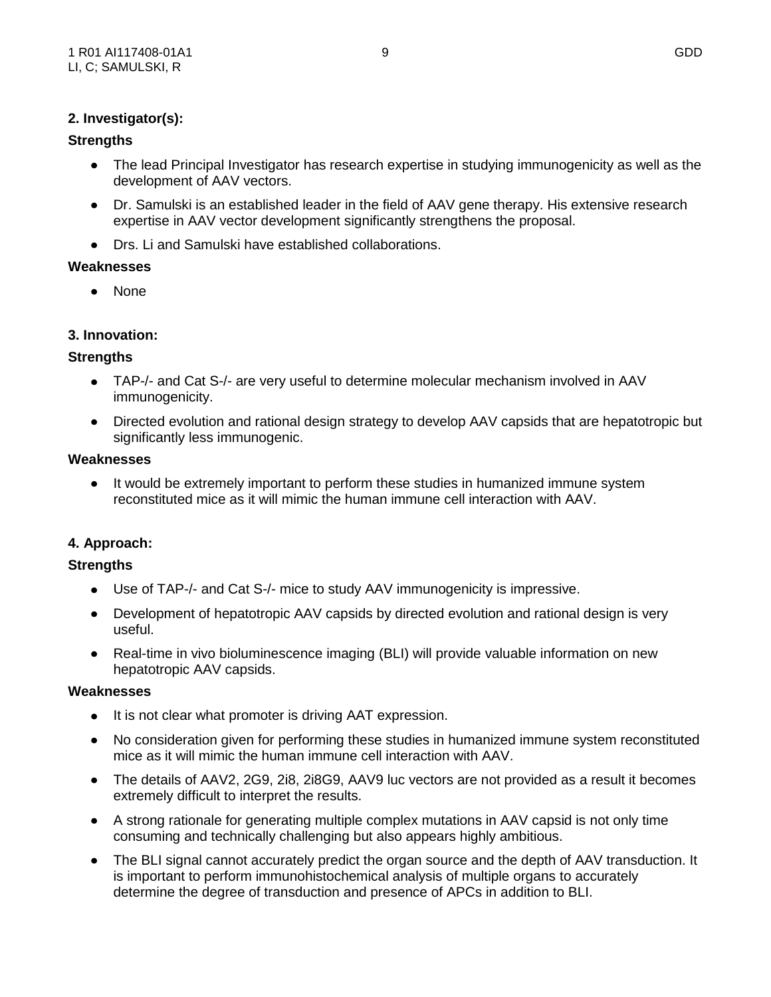## **2. Investigator(s):**

## **Strengths**

- The lead Principal Investigator has research expertise in studying immunogenicity as well as the development of AAV vectors.
- Dr. Samulski is an established leader in the field of AAV gene therapy. His extensive research expertise in AAV vector development significantly strengthens the proposal.
- Drs. Li and Samulski have established collaborations.

### **Weaknesses**

None

# **3. Innovation:**

## **Strengths**

- TAP-/- and Cat S-/- are very useful to determine molecular mechanism involved in AAV immunogenicity.
- Directed evolution and rational design strategy to develop AAV capsids that are hepatotropic but significantly less immunogenic.

#### **Weaknesses**

• It would be extremely important to perform these studies in humanized immune system reconstituted mice as it will mimic the human immune cell interaction with AAV.

## **4. Approach:**

## **Strengths**

- Use of TAP-/- and Cat S-/- mice to study AAV immunogenicity is impressive.
- Development of hepatotropic AAV capsids by directed evolution and rational design is very useful.
- Real-time in vivo bioluminescence imaging (BLI) will provide valuable information on new hepatotropic AAV capsids.

#### **Weaknesses**

- It is not clear what promoter is driving AAT expression.
- No consideration given for performing these studies in humanized immune system reconstituted mice as it will mimic the human immune cell interaction with AAV.
- The details of AAV2, 2G9, 2i8, 2i8G9, AAV9 luc vectors are not provided as a result it becomes extremely difficult to interpret the results.
- A strong rationale for generating multiple complex mutations in AAV capsid is not only time consuming and technically challenging but also appears highly ambitious.
- The BLI signal cannot accurately predict the organ source and the depth of AAV transduction. It is important to perform immunohistochemical analysis of multiple organs to accurately determine the degree of transduction and presence of APCs in addition to BLI.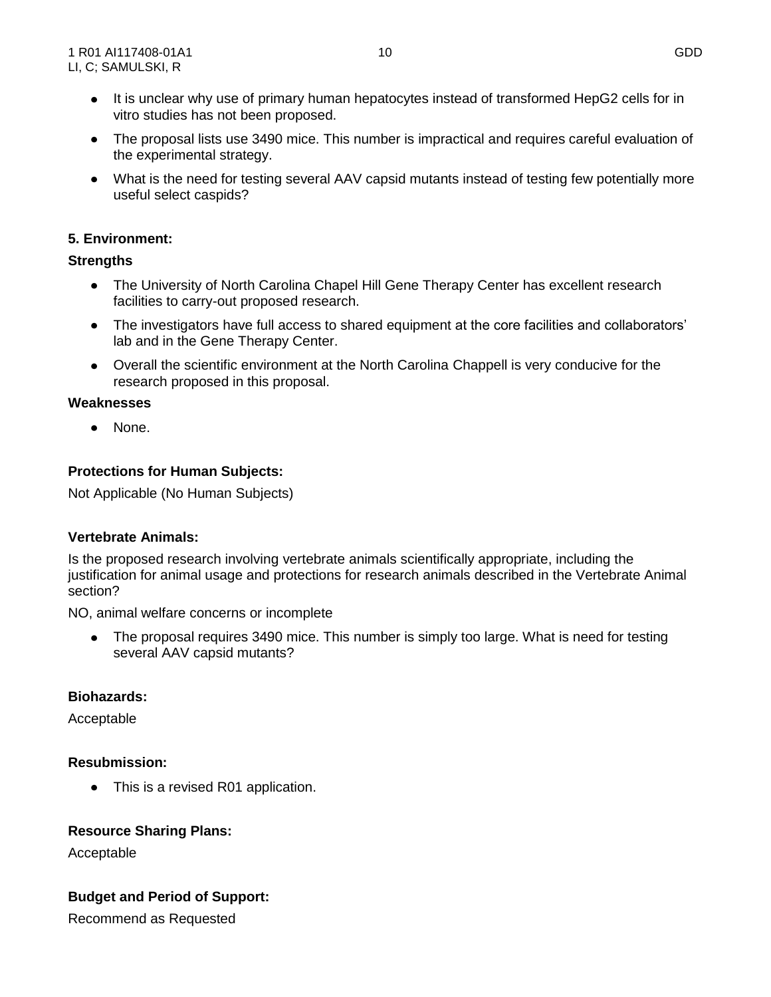- It is unclear why use of primary human hepatocytes instead of transformed HepG2 cells for in vitro studies has not been proposed.
- The proposal lists use 3490 mice. This number is impractical and requires careful evaluation of the experimental strategy.
- What is the need for testing several AAV capsid mutants instead of testing few potentially more useful select caspids?

# **5. Environment:**

### **Strengths**

- The University of North Carolina Chapel Hill Gene Therapy Center has excellent research facilities to carry-out proposed research.
- The investigators have full access to shared equipment at the core facilities and collaborators' lab and in the Gene Therapy Center.
- Overall the scientific environment at the North Carolina Chappell is very conducive for the research proposed in this proposal.

### **Weaknesses**

 $\bullet$ None.

# **Protections for Human Subjects:**

Not Applicable (No Human Subjects)

## **Vertebrate Animals:**

Is the proposed research involving vertebrate animals scientifically appropriate, including the justification for animal usage and protections for research animals described in the Vertebrate Animal section?

NO, animal welfare concerns or incomplete

• The proposal requires 3490 mice. This number is simply too large. What is need for testing several AAV capsid mutants?

## **Biohazards:**

Acceptable

## **Resubmission:**

This is a revised R01 application.  $\bullet$ 

## **Resource Sharing Plans:**

Acceptable

## **Budget and Period of Support:**

Recommend as Requested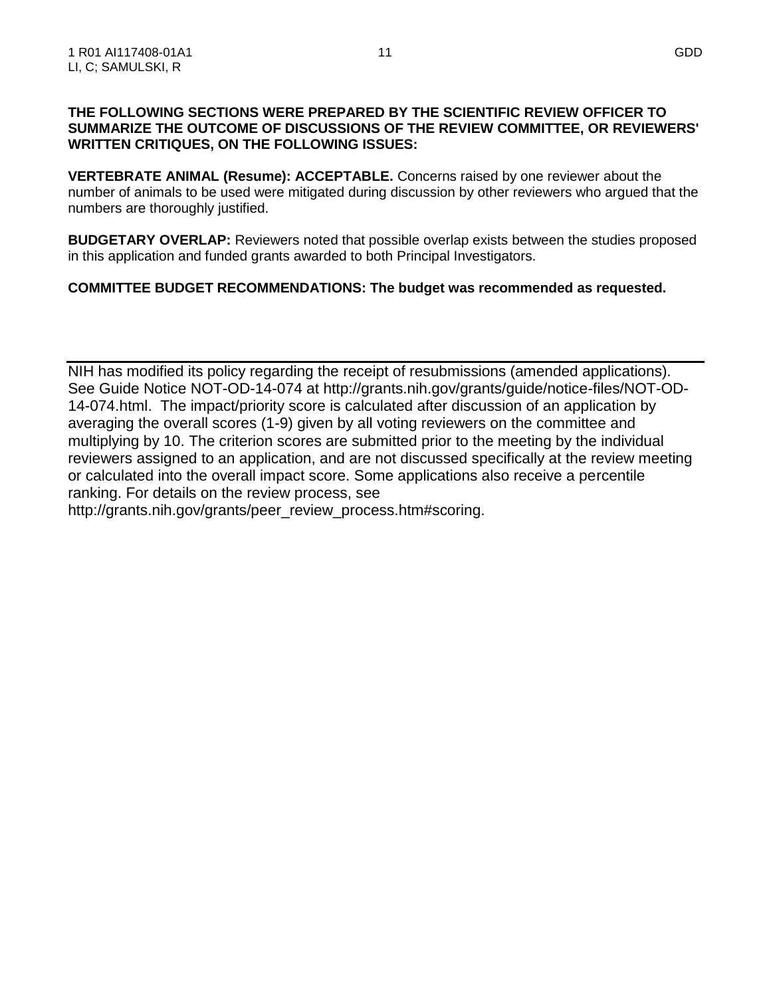### **THE FOLLOWING SECTIONS WERE PREPARED BY THE SCIENTIFIC REVIEW OFFICER TO SUMMARIZE THE OUTCOME OF DISCUSSIONS OF THE REVIEW COMMITTEE, OR REVIEWERS' WRITTEN CRITIQUES, ON THE FOLLOWING ISSUES:**

**VERTEBRATE ANIMAL (Resume): ACCEPTABLE.** Concerns raised by one reviewer about the number of animals to be used were mitigated during discussion by other reviewers who argued that the numbers are thoroughly justified.

**BUDGETARY OVERLAP:** Reviewers noted that possible overlap exists between the studies proposed in this application and funded grants awarded to both Principal Investigators.

# **COMMITTEE BUDGET RECOMMENDATIONS: The budget was recommended as requested.**

NIH has modified its policy regarding the receipt of resubmissions (amended applications). See Guide Notice NOT-OD-14-074 at http://grants.nih.gov/grants/guide/notice-files/NOT-OD-14-074.html. The impact/priority score is calculated after discussion of an application by averaging the overall scores (1-9) given by all voting reviewers on the committee and multiplying by 10. The criterion scores are submitted prior to the meeting by the individual reviewers assigned to an application, and are not discussed specifically at the review meeting or calculated into the overall impact score. Some applications also receive a percentile ranking. For details on the review process, see

http://grants.nih.gov/grants/peer\_review\_process.htm#scoring.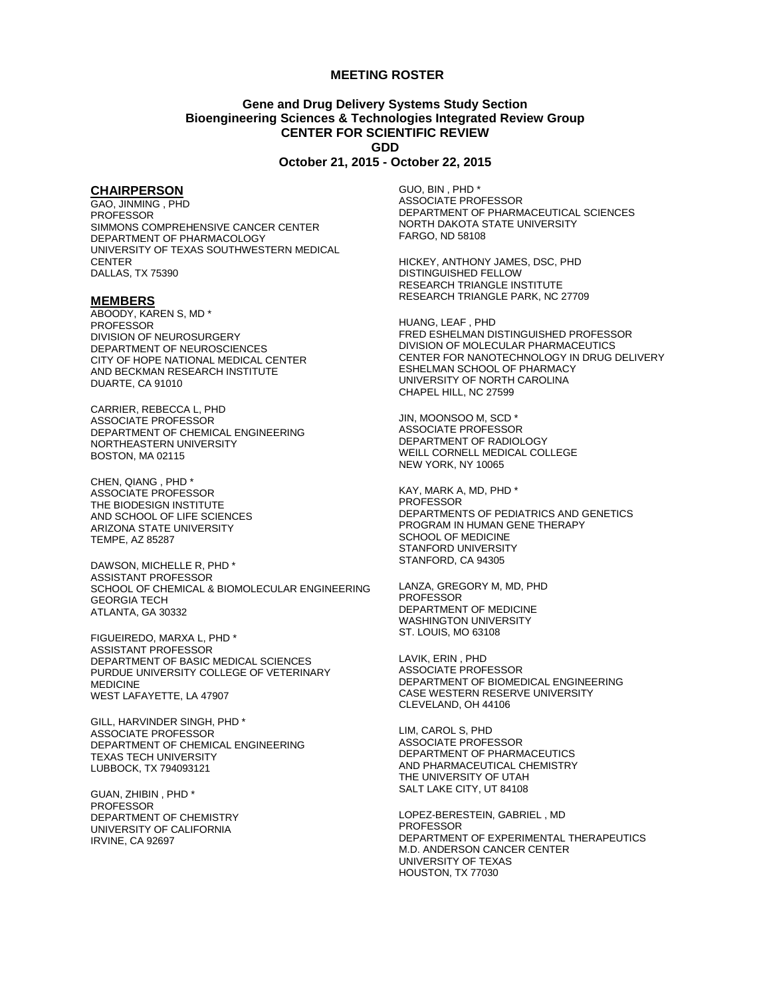#### **MEETING ROSTER**

### **Gene and Drug Delivery Systems Study Section Bioengineering Sciences & Technologies Integrated Review Group CENTER FOR SCIENTIFIC REVIEW GDD**

#### **October 21, 2015 - October 22, 2015**

#### **CHAIRPERSON**

GAO, JINMING , PHD PROFESSOR SIMMONS COMPREHENSIVE CANCER CENTER DEPARTMENT OF PHARMACOLOGY UNIVERSITY OF TEXAS SOUTHWESTERN MEDICAL **CENTER** DALLAS, TX 75390

#### **MEMBERS**

ABOODY, KAREN S, MD \* PROFESSOR DIVISION OF NEUROSURGERY DEPARTMENT OF NEUROSCIENCES CITY OF HOPE NATIONAL MEDICAL CENTER AND BECKMAN RESEARCH INSTITUTE DUARTE, CA 91010

CARRIER, REBECCA L, PHD ASSOCIATE PROFESSOR DEPARTMENT OF CHEMICAL ENGINEERING NORTHEASTERN UNIVERSITY BOSTON, MA 02115

CHEN, QIANG , PHD \* ASSOCIATE PROFESSOR THE BIODESIGN INSTITUTE AND SCHOOL OF LIFE SCIENCES ARIZONA STATE UNIVERSITY TEMPE, AZ 85287

DAWSON, MICHELLE R, PHD \* ASSISTANT PROFESSOR SCHOOL OF CHEMICAL & BIOMOLECULAR ENGINEERING GEORGIA TECH ATLANTA, GA 30332

FIGUEIREDO, MARXA L, PHD \* ASSISTANT PROFESSOR DEPARTMENT OF BASIC MEDICAL SCIENCES PURDUE UNIVERSITY COLLEGE OF VETERINARY MEDICINE WEST LAFAYETTE, LA 47907

GILL, HARVINDER SINGH, PHD \* ASSOCIATE PROFESSOR DEPARTMENT OF CHEMICAL ENGINEERING TEXAS TECH UNIVERSITY LUBBOCK, TX 794093121

GUAN, ZHIBIN , PHD \* PROFESSOR DEPARTMENT OF CHEMISTRY UNIVERSITY OF CALIFORNIA IRVINE, CA 92697

GUO, BIN , PHD \* ASSOCIATE PROFESSOR DEPARTMENT OF PHARMACEUTICAL SCIENCES NORTH DAKOTA STATE UNIVERSITY FARGO, ND 58108

HICKEY, ANTHONY JAMES, DSC, PHD DISTINGUISHED FELLOW RESEARCH TRIANGLE INSTITUTE RESEARCH TRIANGLE PARK, NC 27709

HUANG, LEAF , PHD FRED ESHELMAN DISTINGUISHED PROFESSOR DIVISION OF MOLECULAR PHARMACEUTICS CENTER FOR NANOTECHNOLOGY IN DRUG DELIVERY ESHELMAN SCHOOL OF PHARMACY UNIVERSITY OF NORTH CAROLINA CHAPEL HILL, NC 27599

JIN, MOONSOO M, SCD \* ASSOCIATE PROFESSOR DEPARTMENT OF RADIOLOGY WEILL CORNELL MEDICAL COLLEGE NEW YORK, NY 10065

KAY, MARK A, MD, PHD \* PROFESSOR DEPARTMENTS OF PEDIATRICS AND GENETICS PROGRAM IN HUMAN GENE THERAPY SCHOOL OF MEDICINE STANFORD UNIVERSITY STANFORD, CA 94305

LANZA, GREGORY M, MD, PHD PROFESSOR DEPARTMENT OF MEDICINE WASHINGTON UNIVERSITY ST. LOUIS, MO 63108

LAVIK, ERIN , PHD ASSOCIATE PROFESSOR DEPARTMENT OF BIOMEDICAL ENGINEERING CASE WESTERN RESERVE UNIVERSITY CLEVELAND, OH 44106

LIM, CAROL S, PHD ASSOCIATE PROFESSOR DEPARTMENT OF PHARMACEUTICS AND PHARMACEUTICAL CHEMISTRY THE UNIVERSITY OF UTAH SALT LAKE CITY, UT 84108

LOPEZ-BERESTEIN, GABRIEL , MD PROFESSOR DEPARTMENT OF EXPERIMENTAL THERAPEUTICS M.D. ANDERSON CANCER CENTER UNIVERSITY OF TEXAS HOUSTON, TX 77030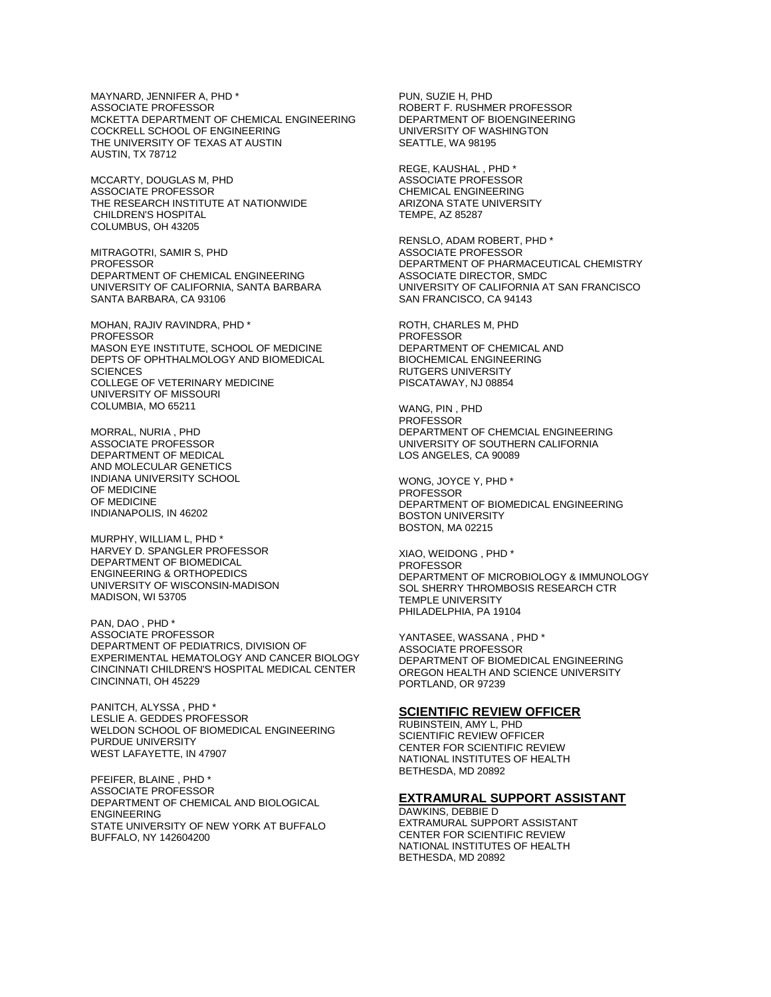MAYNARD, JENNIFER A, PHD \* ASSOCIATE PROFESSOR MCKETTA DEPARTMENT OF CHEMICAL ENGINEERING COCKRELL SCHOOL OF ENGINEERING THE UNIVERSITY OF TEXAS AT AUSTIN AUSTIN, TX 78712

MCCARTY, DOUGLAS M, PHD ASSOCIATE PROFESSOR THE RESEARCH INSTITUTE AT NATIONWIDE CHILDREN'S HOSPITAL COLUMBUS, OH 43205

MITRAGOTRI, SAMIR S, PHD PROFESSOR DEPARTMENT OF CHEMICAL ENGINEERING UNIVERSITY OF CALIFORNIA, SANTA BARBARA SANTA BARBARA, CA 93106

MOHAN, RAJIV RAVINDRA, PHD \* PROFESSOR MASON EYE INSTITUTE, SCHOOL OF MEDICINE DEPTS OF OPHTHALMOLOGY AND BIOMEDICAL **SCIENCES** COLLEGE OF VETERINARY MEDICINE UNIVERSITY OF MISSOURI COLUMBIA, MO 65211

MORRAL, NURIA , PHD ASSOCIATE PROFESSOR DEPARTMENT OF MEDICAL AND MOLECULAR GENETICS INDIANA UNIVERSITY SCHOOL OF MEDICINE OF MEDICINE INDIANAPOLIS, IN 46202

MURPHY, WILLIAM L, PHD \* HARVEY D. SPANGLER PROFESSOR DEPARTMENT OF BIOMEDICAL ENGINEERING & ORTHOPEDICS UNIVERSITY OF WISCONSIN-MADISON MADISON, WI 53705

PAN, DAO , PHD \* ASSOCIATE PROFESSOR DEPARTMENT OF PEDIATRICS, DIVISION OF EXPERIMENTAL HEMATOLOGY AND CANCER BIOLOGY CINCINNATI CHILDREN'S HOSPITAL MEDICAL CENTER CINCINNATI, OH 45229

PANITCH, ALYSSA , PHD \* LESLIE A. GEDDES PROFESSOR WELDON SCHOOL OF BIOMEDICAL ENGINEERING PURDUE UNIVERSITY WEST LAFAYETTE, IN 47907

PFEIFER, BLAINE , PHD \* ASSOCIATE PROFESSOR DEPARTMENT OF CHEMICAL AND BIOLOGICAL ENGINEERING STATE UNIVERSITY OF NEW YORK AT BUFFALO BUFFALO, NY 142604200

PUN, SUZIE H, PHD ROBERT F. RUSHMER PROFESSOR DEPARTMENT OF BIOENGINEERING UNIVERSITY OF WASHINGTON SEATTLE, WA 98195

REGE, KAUSHAL , PHD \* ASSOCIATE PROFESSOR CHEMICAL ENGINEERING ARIZONA STATE UNIVERSITY TEMPE, AZ 85287

RENSLO, ADAM ROBERT, PHD \* ASSOCIATE PROFESSOR DEPARTMENT OF PHARMACEUTICAL CHEMISTRY ASSOCIATE DIRECTOR, SMDC UNIVERSITY OF CALIFORNIA AT SAN FRANCISCO SAN FRANCISCO, CA 94143

ROTH, CHARLES M, PHD PROFESSOR DEPARTMENT OF CHEMICAL AND BIOCHEMICAL ENGINEERING RUTGERS UNIVERSITY PISCATAWAY, NJ 08854

WANG, PIN , PHD **PROFESSOR** DEPARTMENT OF CHEMCIAL ENGINEERING UNIVERSITY OF SOUTHERN CALIFORNIA LOS ANGELES, CA 90089

WONG, JOYCE Y, PHD \* PROFESSOR DEPARTMENT OF BIOMEDICAL ENGINEERING BOSTON UNIVERSITY BOSTON, MA 02215

XIAO, WEIDONG , PHD \* PROFESSOR DEPARTMENT OF MICROBIOLOGY & IMMUNOLOGY SOL SHERRY THROMBOSIS RESEARCH CTR TEMPLE UNIVERSITY PHILADELPHIA, PA 19104

YANTASEE, WASSANA , PHD \* ASSOCIATE PROFESSOR DEPARTMENT OF BIOMEDICAL ENGINEERING OREGON HEALTH AND SCIENCE UNIVERSITY PORTLAND, OR 97239

#### **SCIENTIFIC REVIEW OFFICER**

RUBINSTEIN, AMY L, PHD SCIENTIFIC REVIEW OFFICER CENTER FOR SCIENTIFIC REVIEW NATIONAL INSTITUTES OF HEALTH BETHESDA, MD 20892

#### **EXTRAMURAL SUPPORT ASSISTANT**

DAWKINS, DEBBIE D EXTRAMURAL SUPPORT ASSISTANT CENTER FOR SCIENTIFIC REVIEW NATIONAL INSTITUTES OF HEALTH BETHESDA, MD 20892